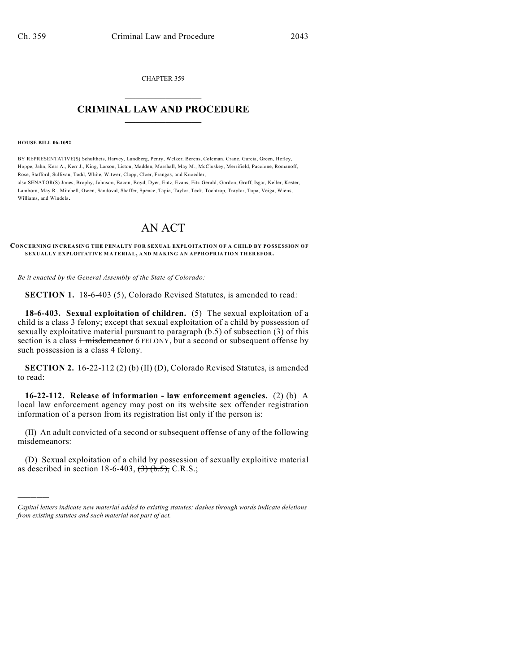CHAPTER 359  $\mathcal{L}_\text{max}$  . The set of the set of the set of the set of the set of the set of the set of the set of the set of the set of the set of the set of the set of the set of the set of the set of the set of the set of the set

## **CRIMINAL LAW AND PROCEDURE**  $\frac{1}{2}$  ,  $\frac{1}{2}$  ,  $\frac{1}{2}$  ,  $\frac{1}{2}$  ,  $\frac{1}{2}$  ,  $\frac{1}{2}$  ,  $\frac{1}{2}$

**HOUSE BILL 06-1092**

)))))

BY REPRESENTATIVE(S) Schultheis, Harvey, Lundberg, Penry, Welker, Berens, Coleman, Crane, Garcia, Green, Hefley, Hoppe, Jahn, Kerr A., Kerr J., King, Larson, Liston, Madden, Marshall, May M., McCluskey, Merrifield, Paccione, Romanoff, Rose, Stafford, Sullivan, Todd, White, Witwer, Clapp, Cloer, Frangas, and Knoedler; also SENATOR(S) Jones, Brophy, Johnson, Bacon, Boyd, Dyer, Entz, Evans, Fitz-Gerald, Gordon, Groff, Isgar, Keller, Kester,

Lamborn, May R., Mitchell, Owen, Sandoval, Shaffer, Spence, Tapia, Taylor, Teck, Tochtrop, Traylor, Tupa, Veiga, Wiens, Williams, and Windels.

## AN ACT

## **CONCERNING INCREASING THE PENALTY FOR SEXUAL EXPLOITATION OF A CHILD BY POSSESSION OF SEXUALLY EXPLOITATIVE MATERIAL, AND MAKING AN APPROPRIATION THEREFOR.**

*Be it enacted by the General Assembly of the State of Colorado:*

**SECTION 1.** 18-6-403 (5), Colorado Revised Statutes, is amended to read:

**18-6-403. Sexual exploitation of children.** (5) The sexual exploitation of a child is a class 3 felony; except that sexual exploitation of a child by possession of sexually exploitative material pursuant to paragraph (b.5) of subsection (3) of this section is a class  $\frac{1}{1}$  misdemeanor 6 FELONY, but a second or subsequent offense by such possession is a class 4 felony.

**SECTION 2.** 16-22-112 (2) (b) (II) (D), Colorado Revised Statutes, is amended to read:

**16-22-112. Release of information - law enforcement agencies.** (2) (b) A local law enforcement agency may post on its website sex offender registration information of a person from its registration list only if the person is:

(II) An adult convicted of a second or subsequent offense of any of the following misdemeanors:

(D) Sexual exploitation of a child by possession of sexually exploitive material as described in section 18-6-403,  $(3)$   $(b.5)$ , C.R.S.;

*Capital letters indicate new material added to existing statutes; dashes through words indicate deletions from existing statutes and such material not part of act.*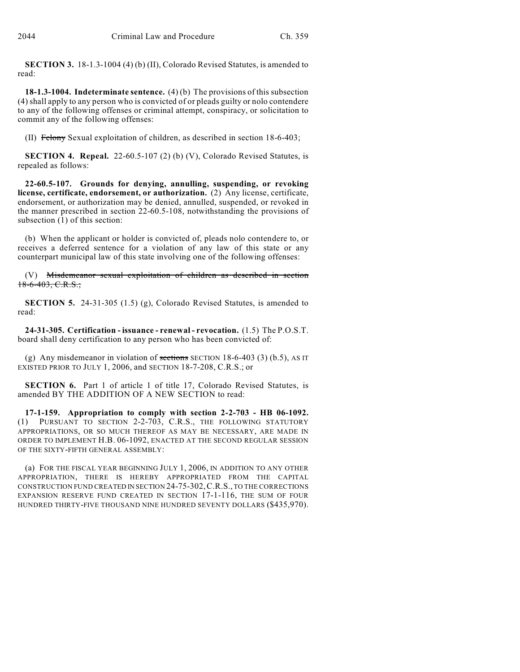**SECTION 3.** 18-1.3-1004 (4) (b) (II), Colorado Revised Statutes, is amended to read:

**18-1.3-1004. Indeterminate sentence.** (4) (b) The provisions of this subsection (4) shall apply to any person who is convicted of or pleads guilty or nolo contendere to any of the following offenses or criminal attempt, conspiracy, or solicitation to commit any of the following offenses:

(II) Felony Sexual exploitation of children, as described in section 18-6-403;

**SECTION 4. Repeal.** 22-60.5-107 (2) (b) (V), Colorado Revised Statutes, is repealed as follows:

**22-60.5-107. Grounds for denying, annulling, suspending, or revoking license, certificate, endorsement, or authorization.** (2) Any license, certificate, endorsement, or authorization may be denied, annulled, suspended, or revoked in the manner prescribed in section 22-60.5-108, notwithstanding the provisions of subsection (1) of this section:

(b) When the applicant or holder is convicted of, pleads nolo contendere to, or receives a deferred sentence for a violation of any law of this state or any counterpart municipal law of this state involving one of the following offenses:

(V) Misdemeanor sexual exploitation of children as described in section  $18-6-403$ , C.R.S.;

**SECTION 5.** 24-31-305 (1.5) (g), Colorado Revised Statutes, is amended to read:

**24-31-305. Certification - issuance - renewal - revocation.** (1.5) The P.O.S.T. board shall deny certification to any person who has been convicted of:

(g) Any misdemeanor in violation of sections SECTION 18-6-403 (3) (b.5), AS IT EXISTED PRIOR TO JULY 1, 2006, and SECTION 18-7-208, C.R.S.; or

**SECTION 6.** Part 1 of article 1 of title 17, Colorado Revised Statutes, is amended BY THE ADDITION OF A NEW SECTION to read:

**17-1-159. Appropriation to comply with section 2-2-703 - HB 06-1092.** (1) PURSUANT TO SECTION 2-2-703, C.R.S., THE FOLLOWING STATUTORY APPROPRIATIONS, OR SO MUCH THEREOF AS MAY BE NECESSARY, ARE MADE IN ORDER TO IMPLEMENT H.B. 06-1092, ENACTED AT THE SECOND REGULAR SESSION OF THE SIXTY-FIFTH GENERAL ASSEMBLY:

(a) FOR THE FISCAL YEAR BEGINNING JULY 1, 2006, IN ADDITION TO ANY OTHER APPROPRIATION, THERE IS HEREBY APPROPRIATED FROM THE CAPITAL CONSTRUCTION FUND CREATED IN SECTION 24-75-302,C.R.S., TO THE CORRECTIONS EXPANSION RESERVE FUND CREATED IN SECTION 17-1-116, THE SUM OF FOUR HUNDRED THIRTY-FIVE THOUSAND NINE HUNDRED SEVENTY DOLLARS (\$435,970).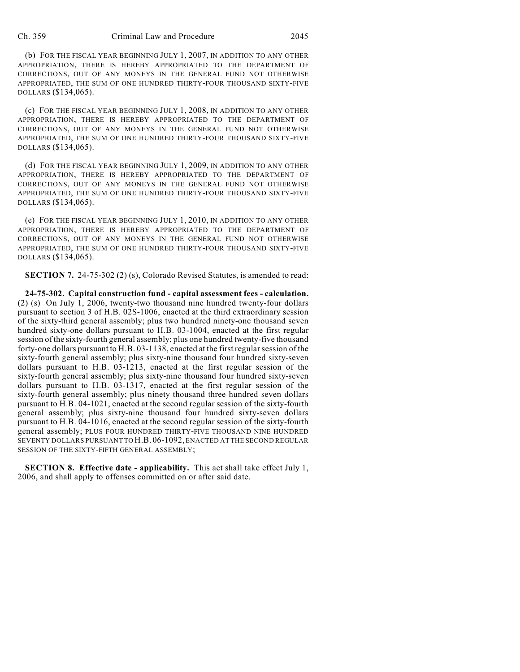(b) FOR THE FISCAL YEAR BEGINNING JULY 1, 2007, IN ADDITION TO ANY OTHER APPROPRIATION, THERE IS HEREBY APPROPRIATED TO THE DEPARTMENT OF CORRECTIONS, OUT OF ANY MONEYS IN THE GENERAL FUND NOT OTHERWISE APPROPRIATED, THE SUM OF ONE HUNDRED THIRTY-FOUR THOUSAND SIXTY-FIVE DOLLARS (\$134,065).

(c) FOR THE FISCAL YEAR BEGINNING JULY 1, 2008, IN ADDITION TO ANY OTHER APPROPRIATION, THERE IS HEREBY APPROPRIATED TO THE DEPARTMENT OF CORRECTIONS, OUT OF ANY MONEYS IN THE GENERAL FUND NOT OTHERWISE APPROPRIATED, THE SUM OF ONE HUNDRED THIRTY-FOUR THOUSAND SIXTY-FIVE DOLLARS (\$134,065).

(d) FOR THE FISCAL YEAR BEGINNING JULY 1, 2009, IN ADDITION TO ANY OTHER APPROPRIATION, THERE IS HEREBY APPROPRIATED TO THE DEPARTMENT OF CORRECTIONS, OUT OF ANY MONEYS IN THE GENERAL FUND NOT OTHERWISE APPROPRIATED, THE SUM OF ONE HUNDRED THIRTY-FOUR THOUSAND SIXTY-FIVE DOLLARS (\$134,065).

(e) FOR THE FISCAL YEAR BEGINNING JULY 1, 2010, IN ADDITION TO ANY OTHER APPROPRIATION, THERE IS HEREBY APPROPRIATED TO THE DEPARTMENT OF CORRECTIONS, OUT OF ANY MONEYS IN THE GENERAL FUND NOT OTHERWISE APPROPRIATED, THE SUM OF ONE HUNDRED THIRTY-FOUR THOUSAND SIXTY-FIVE DOLLARS (\$134,065).

**SECTION 7.** 24-75-302 (2) (s), Colorado Revised Statutes, is amended to read:

**24-75-302. Capital construction fund - capital assessment fees - calculation.** (2) (s) On July 1, 2006, twenty-two thousand nine hundred twenty-four dollars pursuant to section 3 of H.B. 02S-1006, enacted at the third extraordinary session of the sixty-third general assembly; plus two hundred ninety-one thousand seven hundred sixty-one dollars pursuant to H.B. 03-1004, enacted at the first regular session of the sixty-fourth general assembly; plus one hundred twenty-five thousand forty-one dollars pursuant to H.B. 03-1138, enacted at the first regular session of the sixty-fourth general assembly; plus sixty-nine thousand four hundred sixty-seven dollars pursuant to H.B. 03-1213, enacted at the first regular session of the sixty-fourth general assembly; plus sixty-nine thousand four hundred sixty-seven dollars pursuant to H.B. 03-1317, enacted at the first regular session of the sixty-fourth general assembly; plus ninety thousand three hundred seven dollars pursuant to H.B. 04-1021, enacted at the second regular session of the sixty-fourth general assembly; plus sixty-nine thousand four hundred sixty-seven dollars pursuant to H.B. 04-1016, enacted at the second regular session of the sixty-fourth general assembly; PLUS FOUR HUNDRED THIRTY-FIVE THOUSAND NINE HUNDRED SEVENTY DOLLARS PURSUANT TO H.B. 06-1092, ENACTED AT THE SECOND REGULAR SESSION OF THE SIXTY-FIFTH GENERAL ASSEMBLY;

**SECTION 8. Effective date - applicability.** This act shall take effect July 1, 2006, and shall apply to offenses committed on or after said date.